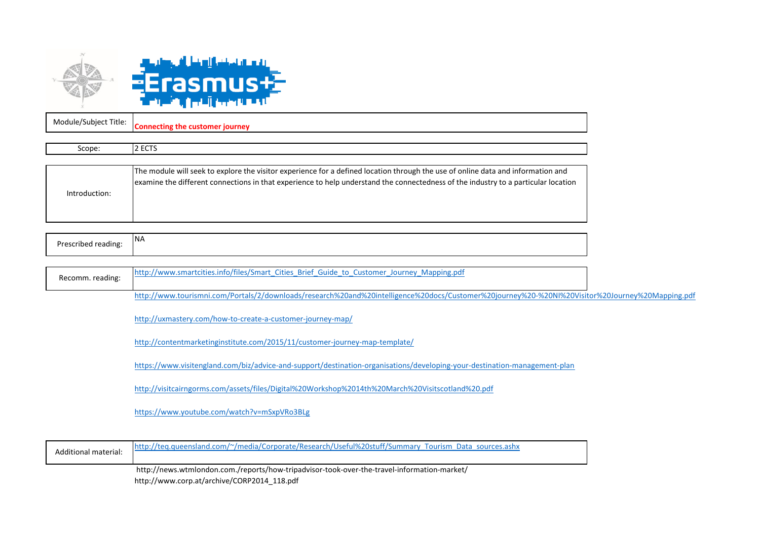

| Module/Subject Title: | : customer journey<br>Connecting |
|-----------------------|----------------------------------|
|                       |                                  |
| Scope:                | - ---<br>---                     |

|               | The module will seek to explore the visitor experience for a defined location through the use of online data and information and<br>examine the different connections in that experience to help understand the connectedness of the industry to a particular location |
|---------------|------------------------------------------------------------------------------------------------------------------------------------------------------------------------------------------------------------------------------------------------------------------------|
| Introduction: |                                                                                                                                                                                                                                                                        |
|               |                                                                                                                                                                                                                                                                        |

| .<br>reading:<br>- -- - -<br>'ibed<br>$\cdots$<br>. | INr |
|-----------------------------------------------------|-----|
|                                                     |     |

| Recomm. reading: | http://www.smartcities.info/files/Smart Cities Brief Guide to Customer Journey Mapping.pdf                                                      |  |
|------------------|-------------------------------------------------------------------------------------------------------------------------------------------------|--|
|                  | http://www.tourismni.com/Portals/2/downloads/research%20and%20intelligence%20docs/Customer%20journey%20-%20Nl%20Visitor%20Journey%20Mapping.pdf |  |

http://uxmastery.com/how-to-create-a-customer-journey-map/

http://contentmarketinginstitute.com/2015/11/customer-journey-map-template/

https://www.visitengland.com/biz/advice-and-support/destination-organisations/developing-your-destination-management-plan

http://visitcairngorms.com/assets/files/Digital%20Workshop%2014th%20March%20Visitscotland%20.pdf

<https://www.youtube.com/watch?v=mSxpVRo3BLg>

| Additional material: | http://teg.queensland.com/~/media/Corporate/Research/Useful%20stuff/Summary Tourism Data sources.ashx |
|----------------------|-------------------------------------------------------------------------------------------------------|
|                      | http://news.wtmlondon.com./reports/how-tripadvisor-took-over-the-travel-information-market/           |

http://www.corp.at/archive/CORP2014\_118.pdf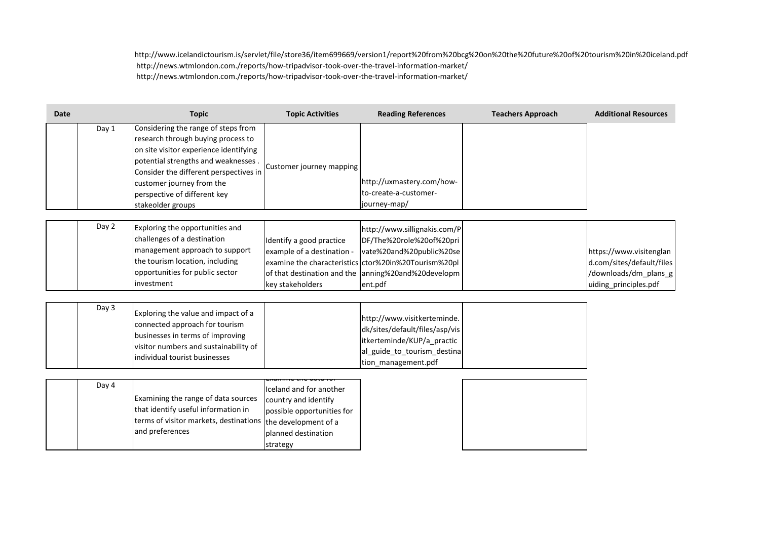http://www.icelandictourism.is/servlet/file/store36/item699669/version1/report%20from%20bcg%20on%20the%20future%20of%20tourism%20in%20iceland.pdf http://news.wtmlondon.com./reports/how-tripadvisor-took-over-the-travel-information-market/ http://news.wtmlondon.com./reports/how-tripadvisor-took-over-the-travel-information-market/

| Date |       | <b>Topic</b>                                                                                                                                                                                                                                                                           | <b>Topic Activities</b>                                                                                          | <b>Reading References</b>                                                                                                                                                                                      | <b>Teachers Approach</b> | <b>Additional Resources</b>                                                                            |
|------|-------|----------------------------------------------------------------------------------------------------------------------------------------------------------------------------------------------------------------------------------------------------------------------------------------|------------------------------------------------------------------------------------------------------------------|----------------------------------------------------------------------------------------------------------------------------------------------------------------------------------------------------------------|--------------------------|--------------------------------------------------------------------------------------------------------|
|      | Day 1 | Considering the range of steps from<br>research through buying process to<br>on site visitor experience identifying<br>potential strengths and weaknesses.<br>Consider the different perspectives in<br>customer journey from the<br>perspective of different key<br>stakeolder groups | Customer journey mapping                                                                                         | http://uxmastery.com/how-<br>to-create-a-customer-<br>journey-map/                                                                                                                                             |                          |                                                                                                        |
|      | Day 2 | Exploring the opportunities and<br>challenges of a destination<br>management approach to support<br>the tourism location, including<br>opportunities for public sector<br>investment                                                                                                   | Identify a good practice<br>example of a destination -<br>key stakeholders                                       | http://www.sillignakis.com/P<br>DF/The%20role%20of%20pri<br>vate%20and%20public%20se<br>examine the characteristics ctor%20in%20Tourism%20pl<br>of that destination and the anning%20and%20developm<br>ent.pdf |                          | https://www.visitenglan<br>d.com/sites/default/files<br>/downloads/dm_plans_g<br>uiding_principles.pdf |
|      | Day 3 | Exploring the value and impact of a<br>connected approach for tourism<br>businesses in terms of improving<br>visitor numbers and sustainability of<br>individual tourist businesses                                                                                                    |                                                                                                                  | http://www.visitkerteminde.<br>dk/sites/default/files/asp/vis<br>itkerteminde/KUP/a_practic<br>al_guide_to_tourism_destina<br>tion_management.pdf                                                              |                          |                                                                                                        |
|      | Day 4 | Examining the range of data sources<br>that identify useful information in<br>terms of visitor markets, destinations the development of a<br>and preferences                                                                                                                           | Iceland and for another<br>country and identify<br>possible opportunities for<br>planned destination<br>strategy |                                                                                                                                                                                                                |                          |                                                                                                        |